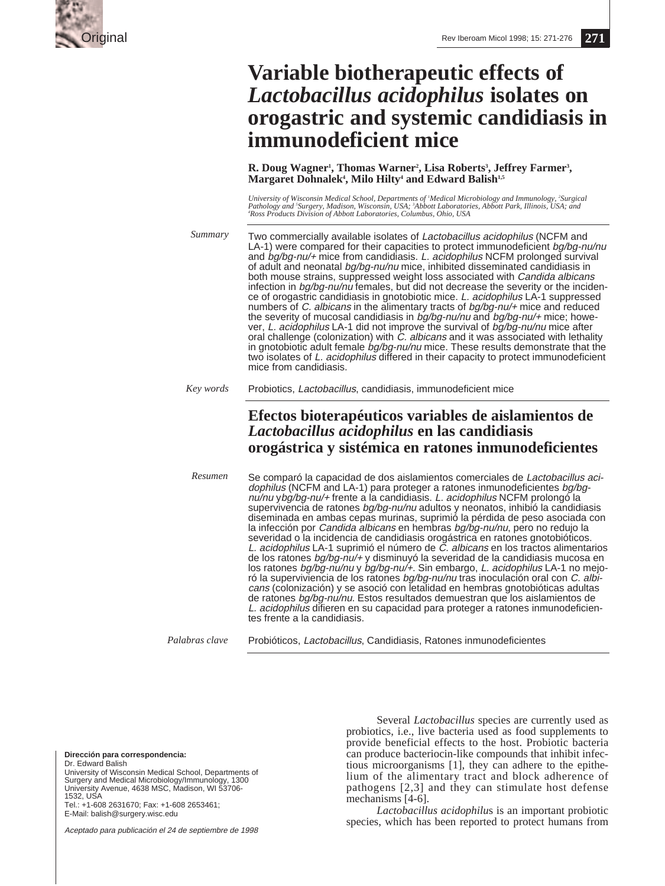

# **Variable biotherapeutic effects of** *Lactobacillus acidophilus* **isolates on orogastric and systemic candidiasis in immunodeficient mice**

**R. Doug Wagner', Thomas Warner', Lisa Roberts', Jeffrey Farmer',<br>Margaret Dohnalek', Milo Hilty' and Edward Balish<sup>1,5</sup> Margaret Dohnalek<sup>4</sup>, Milo Hilty<sup>4</sup> and Edward Balish<sup>1,5</sup>** 

University of Wisconsin Medical School, Departments of 'Medical Microbiology and Immunology, <sup>2</sup>Surgical<br>Pathology and <sup>s</sup>Surgery, Madison, Wisconsin, USA; <sup>3</sup>Abbott Laboratories, Abbott Park, Illinois, USA; and *4 Ross Products Division of Abbott Laboratories, Columbus, Ohio, USA*

Two commercially available isolates of Lactobacillus acidophilus (NCFM and LA-1) were compared for their capacities to protect immunodeficient bg/bg-nu/nu and bg/bg-nu/+ mice from candidiasis. L. acidophilus NCFM prolonged survival of adult and neonatal bg/bg-nu/nu mice, inhibited disseminated candidiasis in both mouse strains, suppressed weight loss associated with Candida albicans infection in bg/bg-nu/nu females, but did not decrease the severity or the incidence of orogastric candidiasis in gnotobiotic mice. L. acidophilus LA-1 suppressed numbers of C. albicans in the alimentary tracts of bg/bg-nu/+ mice and reduced the severity of mucosal candidiasis in bg/bg-nu/nu and bg/bg-nu/+ mice; however, L. acidophilus LA-1 did not improve the survival of bg/bg-nu/nu mice after oral challenge (colonization) with C. albicans and it was associated with lethality in gnotobiotic adult female bg/bg-nu/nu mice. These results demonstrate that the two isolates of L. acidophilus differed in their capacity to protect immunodeficient mice from candidiasis. *Summary*

#### Probiotics, Lactobacillus, candidiasis, immunodeficient mice *Key words*

## **Efectos bioterapéuticos variables de aislamientos de** *Lactobacillus acidophilus* **en las candidiasis orogástrica y sistémica en ratones inmunodeficientes**

Se comparó la capacidad de dos aislamientos comerciales de Lactobacillus acidophilus (NCFM and LA-1) para proteger a ratones inmunodeficientes bg/bgnu/nu ybg/bg-nu/+ frente a la candidiasis. L. acidophilus NCFM prolongó la supervivencia de ratones *bg/bg-nu/nu* adultos y neonatos, inhibió la candidiasis diseminada en ambas cepas murinas, suprimió la pérdida de peso asociada con la infección por Candida albicans en hembras bg/bg-nu/nu, pero no redujo la severidad o la incidencia de candidiasis orogástrica en ratones gnotobióticos. L. acidophilus LA-1 suprimió el número de C. albicans en los tractos alimentarios de los ratones bg/bg-nu/+ y disminuyó la severidad de la candidiasis mucosa en los ratones bg/bg-nu/nu y bg/bg-nu/+. Sin embargo, L. acidophilus LA-1 no mejoró la superviviencia de los ratones bg/bg-nu/nu tras inoculación oral con C. albicans (colonización) y se asoció con letalidad en hembras gnotobióticas adultas de ratones bg/bg-nu/nu. Estos resultados demuestran que los aislamientos de L. acidophilus difieren en su capacidad para proteger a ratones inmunodeficientes frente a la candidiasis. *Resumen*

Probióticos, Lactobacillus, Candidiasis, Ratones inmunodeficientes *Palabras clave*

**Dirección para correspondencia:**

Dr. Edward Balish University of Wisconsin Medical School, Departments of Surgery and Medical Microbiology/Immunology, 1300 University Avenue, 4638 MSC, Madison, WI 53706- 1532, USA Tel.: +1-608 2631670; Fax: +1-608 2653461;

E-Mail: balish@surgery.wisc.edu

Aceptado para publicación el 24 de septiembre de 1998

Several *Lactobacillus* species are currently used as probiotics, i.e., live bacteria used as food supplements to provide beneficial effects to the host. Probiotic bacteria can produce bacteriocin-like compounds that inhibit infectious microorganisms [1], they can adhere to the epithelium of the alimentary tract and block adherence of pathogens [2,3] and they can stimulate host defense mechanisms [4-6].

*Lactobacillus acidophilu*s is an important probiotic species, which has been reported to protect humans from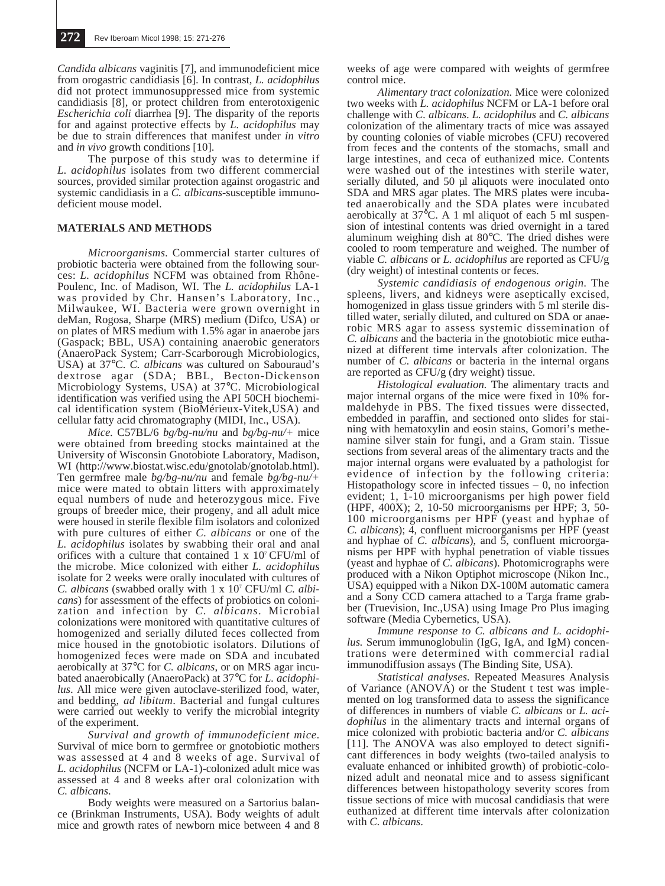*Candida albicans* vaginitis [7], and immunodeficient mice from orogastric candidiasis [6]. In contrast, *L. acidophilus* did not protect immunosuppressed mice from systemic candidiasis [8], or protect children from enterotoxigenic *Escherichia coli* diarrhea [9]. The disparity of the reports for and against protective effects by *L. acidophilus* may be due to strain differences that manifest under *in vitro* and *in vivo* growth conditions [10].

The purpose of this study was to determine if *L. acidophilus* isolates from two different commercial sources, provided similar protection against orogastric and systemic candidiasis in a *C. albicans*-susceptible immunodeficient mouse model.

### **MATERIALS AND METHODS**

*Microorganisms.* Commercial starter cultures of probiotic bacteria were obtained from the following sources: *L. acidophilus* NCFM was obtained from Rhône-Poulenc, Inc. of Madison, WI. The *L. acidophilus* LA-1 was provided by Chr. Hansen's Laboratory, Inc., Milwaukee, WI. Bacteria were grown overnight in deMan, Rogosa, Sharpe (MRS) medium (Difco, USA) or on plates of MRS medium with 1.5% agar in anaerobe jars (Gaspack; BBL, USA) containing anaerobic generators (AnaeroPack System; Carr-Scarborough Microbiologics, USA) at 37°C. *C. albicans* was cultured on Sabouraud's dextrose agar (SDA; BBL, Becton-Dickenson Microbiology Systems, USA) at 37°C. Microbiological identification was verified using the API 50CH biochemical identification system (BioMérieux-Vitek,USA) and cellular fatty acid chromatography (MIDI, Inc., USA).

*Mice.* C57BL/6 *bg/bg-nu/nu* and *bg/bg-nu/+* mice were obtained from breeding stocks maintained at the University of Wisconsin Gnotobiote Laboratory, Madison, WI (http://www.biostat.wisc.edu/gnotolab/gnotolab.html). Ten germfree male *bg/bg-nu/nu* and female *bg/bg-nu/+* mice were mated to obtain litters with approximately equal numbers of nude and heterozygous mice. Five groups of breeder mice, their progeny, and all adult mice were housed in sterile flexible film isolators and colonized with pure cultures of either *C. albicans* or one of the *L. acidophilus* isolates by swabbing their oral and anal orifices with a culture that contained 1 x 107 CFU/ml of the microbe. Mice colonized with either *L. acidophilus* isolate for 2 weeks were orally inoculated with cultures of *C. albicans* (swabbed orally with 1 x 107 CFU/ml *C. albicans*) for assessment of the effects of probiotics on colonization and infection by *C. albicans*. Microbial colonizations were monitored with quantitative cultures of homogenized and serially diluted feces collected from mice housed in the gnotobiotic isolators. Dilutions of homogenized feces were made on SDA and incubated aerobically at 37°C for *C. albicans*, or on MRS agar incubated anaerobically (AnaeroPack) at 37°C for *L. acidophilus*. All mice were given autoclave-sterilized food, water, and bedding, *ad libitum*. Bacterial and fungal cultures were carried out weekly to verify the microbial integrity of the experiment.

*Survival and growth of immunodeficient mice.* Survival of mice born to germfree or gnotobiotic mothers was assessed at 4 and 8 weeks of age. Survival of *L. acidophilus* (NCFM or LA-1)-colonized adult mice was assessed at 4 and 8 weeks after oral colonization with *C. albicans*.

Body weights were measured on a Sartorius balance (Brinkman Instruments, USA). Body weights of adult mice and growth rates of newborn mice between 4 and 8

weeks of age were compared with weights of germfree control mice.

*Alimentary tract colonization.* Mice were colonized two weeks with *L. acidophilus* NCFM or LA-1 before oral challenge with *C. albicans*. *L. acidophilus* and *C. albicans* colonization of the alimentary tracts of mice was assayed by counting colonies of viable microbes (CFU) recovered from feces and the contents of the stomachs, small and large intestines, and ceca of euthanized mice. Contents were washed out of the intestines with sterile water, serially diluted, and 50 µl aliquots were inoculated onto SDA and MRS agar plates. The MRS plates were incubated anaerobically and the SDA plates were incubated aerobically at  $37^{\circ}$ C. A 1 ml aliquot of each 5 ml suspension of intestinal contents was dried overnight in a tared aluminum weighing dish at 80°C. The dried dishes were cooled to room temperature and weighed. The number of viable *C. albicans* or *L. acidophilus* are reported as CFU/g (dry weight) of intestinal contents or feces.

*Systemic candidiasis of endogenous origin.* The spleens, livers, and kidneys were aseptically excised, homogenized in glass tissue grinders with 5 ml sterile distilled water, serially diluted, and cultured on SDA or anaerobic MRS agar to assess systemic dissemination of *C. albicans* and the bacteria in the gnotobiotic mice euthanized at different time intervals after colonization. The number of *C. albicans* or bacteria in the internal organs are reported as CFU/g (dry weight) tissue.

*Histological evaluation.* The alimentary tracts and major internal organs of the mice were fixed in 10% formaldehyde in PBS. The fixed tissues were dissected, embedded in paraffin, and sectioned onto slides for staining with hematoxylin and eosin stains, Gomori's methenamine silver stain for fungi, and a Gram stain. Tissue sections from several areas of the alimentary tracts and the major internal organs were evaluated by a pathologist for evidence of infection by the following criteria: Histopathology score in infected tissues  $-0$ , no infection evident; 1, 1-10 microorganisms per high power field (HPF, 400X); 2, 10-50 microorganisms per HPF; 3, 50- 100 microorganisms per HPF (yeast and hyphae of *C. albicans*); 4, confluent microorganisms per HPF (yeast and hyphae of *C. albicans*), and 5, confluent microorganisms per HPF with hyphal penetration of viable tissues (yeast and hyphae of *C. albicans*). Photomicrographs were produced with a Nikon Optiphot microscope (Nikon Inc., USA) equipped with a Nikon DX-100M automatic camera and a Sony CCD camera attached to a Targa frame grabber (Truevision, Inc.,USA) using Image Pro Plus imaging software (Media Cybernetics, USA).

*Immune response to C. albicans and L. acidophilus.* Serum immunoglobulin (IgG, IgA, and IgM) concentrations were determined with commercial radial immunodiffusion assays (The Binding Site, USA).

*Statistical analyses.* Repeated Measures Analysis of Variance (ANOVA) or the Student t test was implemented on log transformed data to assess the significance of differences in numbers of viable *C. albicans* or *L. acidophilus* in the alimentary tracts and internal organs of mice colonized with probiotic bacteria and/or *C. albicans* [11]. The ANOVA was also employed to detect significant differences in body weights (two-tailed analysis to evaluate enhanced or inhibited growth) of probiotic-colonized adult and neonatal mice and to assess significant differences between histopathology severity scores from tissue sections of mice with mucosal candidiasis that were euthanized at different time intervals after colonization with *C. albicans*.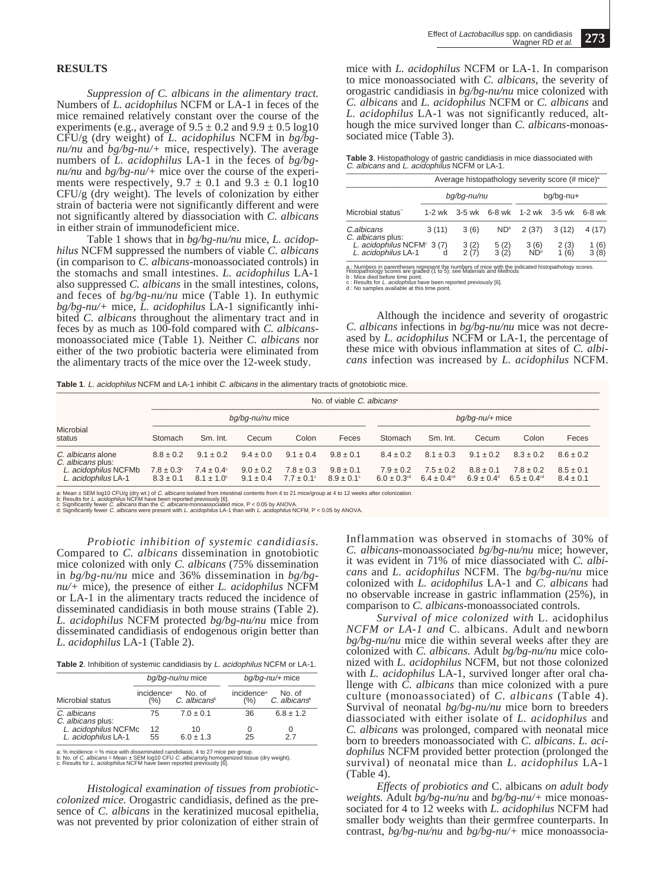### **RESULTS**

*Suppression of C. albicans in the alimentary tract.* Numbers of *L. acidophilus* NCFM or LA-1 in feces of the mice remained relatively constant over the course of the experiments (e.g., average of  $9.5 \pm 0.2$  and  $9.9 \pm 0.5$  log10 CFU/g (dry weight) of *L. acidophilus* NCFM in *bg/bgnu/nu* and *bg/bg-nu/+* mice, respectively). The average numbers of *L. acidophilus* LA-1 in the feces of *bg/bgnu/nu* and *bg/bg-nu/+* mice over the course of the experiments were respectively,  $9.7 \pm 0.1$  and  $9.3 \pm 0.1$  log10 CFU/g (dry weight). The levels of colonization by either strain of bacteria were not significantly different and were not significantly altered by diassociation with *C. albicans* in either strain of immunodeficient mice.

Table 1 shows that in *bg/bg-nu/nu* mice, *L. acidophilus* NCFM suppressed the numbers of viable *C. albicans* (in comparison to *C. albicans*-monoassociated controls) in the stomachs and small intestines. *L. acidophilus* LA-1 also suppressed *C. albicans* in the small intestines, colons, and feces of *bg/bg-nu/nu* mice (Table 1). In euthymic *bg/bg-nu/+* mice, *L. acidophilus* LA-1 significantly inhibited *C. albicans* throughout the alimentary tract and in feces by as much as 100-fold compared with *C. albicans*monoassociated mice (Table 1). Neither *C. albicans* nor either of the two probiotic bacteria were eliminated from the alimentary tracts of the mice over the 12-week study.

mice with *L. acidophilus* NCFM or LA-1. In comparison to mice monoassociated with *C. albicans*, the severity of orogastric candidiasis in *bg/bg-nu/nu* mice colonized with *C. albicans* and *L. acidophilus* NCFM or *C. albicans* and *L. acidophilus* LA-1 was not significantly reduced, although the mice survived longer than *C. albicans*-monoassociated mice (Table 3).

| Table 3. Histopathology of gastric candidiasis in mice diassociated with<br>C. albicans and L. acidophilus NCFM or LA-1. |
|--------------------------------------------------------------------------------------------------------------------------|
|--------------------------------------------------------------------------------------------------------------------------|

|                                                                                                                                                                                                                                                                                                                                    | Average histopathology severity score (# mice) <sup>a</sup> |                          |                     |                         |              |                            |  |  |
|------------------------------------------------------------------------------------------------------------------------------------------------------------------------------------------------------------------------------------------------------------------------------------------------------------------------------------|-------------------------------------------------------------|--------------------------|---------------------|-------------------------|--------------|----------------------------|--|--|
|                                                                                                                                                                                                                                                                                                                                    |                                                             | bq/bq-nu/nu<br>bg/bg-nu+ |                     |                         |              |                            |  |  |
| Microbial status                                                                                                                                                                                                                                                                                                                   | $1-2$ wk                                                    | $3-5$ wk                 | 6-8 wk              | $1-2$ wk                | $3-5$ wk     | $6-8$ wk                   |  |  |
| C.albicans<br>C. albicans plus:                                                                                                                                                                                                                                                                                                    | 3(11)                                                       | 3(6)                     | ND <sup>b</sup>     | 2(37)                   | 3(12)        | 4(17)                      |  |  |
| L. acidophilus NCFM $\degree$ 3 (7)<br>L. acidophilus LA-1                                                                                                                                                                                                                                                                         |                                                             | 3(2)<br>2(7)             | $\frac{5(2)}{3(2)}$ | 3(6)<br>ND <sup>d</sup> | 2(3)<br>1(6) | $\frac{1}{3}$ (6)<br>3 (8) |  |  |
| a: Numbers in parentheses represent the numbers of mice with the indicated histopathology scores.<br>Histopathology scores are graded (1 to 5); see Materials and Methods<br>b : Mice died before time point.<br>c : Results for L. acidophilus have been reported previously [6].<br>d : No samples available at this time point. |                                                             |                          |                     |                         |              |                            |  |  |

Although the incidence and severity of orogastric *C. albicans* infections in *bg/bg-nu/nu* mice was not decreased by *L. acidophilus* NCFM or LA-1, the percentage of these mice with obvious inflammation at sites of *C. albicans* infection was increased by *L. acidophilus* NCFM.

Table 1. L. acidophilus NCFM and LA-1 inhibit C. albicans in the alimentary tracts of gnotobiotic mice.

|                                             |                                        |                                                |                                |                                        | No. of viable $C$ , albicans <sup>®</sup> |                                              |                                              |                                             |                                              |                                |
|---------------------------------------------|----------------------------------------|------------------------------------------------|--------------------------------|----------------------------------------|-------------------------------------------|----------------------------------------------|----------------------------------------------|---------------------------------------------|----------------------------------------------|--------------------------------|
|                                             | bg/bg-nu/nu mice                       |                                                |                                |                                        | $bq/bq$ -nu/+ mice                        |                                              |                                              |                                             |                                              |                                |
| Microbial<br>status                         | Stomach                                | Sm. Int.                                       | Cecum                          | Colon                                  | Feces                                     | Stomach                                      | Sm. Int.                                     | Cecum                                       | Colon                                        | Feces                          |
| C. albicans alone<br>C. albicans plus:      | $88 + 02$                              | $9.1 \pm 0.2$                                  | $9.4 \pm 0.0$                  | $9.1 \pm 0.4$                          | $9.8 \pm 0.1$                             | $8.4 \pm 0.2$                                | $8.1 \pm 0.3$                                | $9.1 \pm 0.2$                               | $8.3 \pm 0.2$                                | $8.6 \pm 0.2$                  |
| L. acidophilus NCFMb<br>L. acidophilus LA-1 | $7.8 \pm 0.3^{\circ}$<br>$8.3 \pm 0.1$ | $7.4 \pm 0.4^{\circ}$<br>$8.1 \pm 1.0^{\circ}$ | $9.0 \pm 0.2$<br>$9.1 \pm 0.4$ | $7.8 \pm 0.3$<br>$7.7 \pm 0.1^{\circ}$ | $9.8 \pm 0.1$<br>$8.9 \pm 0.1^{\circ}$    | $7.9 \pm 0.2$<br>$6.0 \pm 0.3$ <sup>cd</sup> | $7.5 \pm 0.2$<br>$6.4 \pm 0.4$ <sup>cd</sup> | $8.8 \pm 0.1$<br>$6.9 \pm 0.4$ <sup>d</sup> | $7.8 \pm 0.2$<br>$6.5 \pm 0.4$ <sup>cd</sup> | $8.5 \pm 0.1$<br>$8.4 \pm 0.1$ |

a: Mean ± SEM log10 CFU/g (dny wt.) of *C. albicans* isolated from intestinal contents from 4 to 21 mice/group at 4 to 12 weeks after colonization.<br>c: Results for *L. acidophilus* NCFM have been reported previously [6].<br>d:

*Probiotic inhibition of systemic candidiasis.* Compared to *C. albicans* dissemination in gnotobiotic mice colonized with only *C. albicans* (75% dissemination in *bg/bg-nu/nu* mice and 36% dissemination in *bg/bgnu/+* mice), the presence of either *L. acidophilus* NCFM or LA-1 in the alimentary tracts reduced the incidence of disseminated candidiasis in both mouse strains (Table 2). *L. acidophilus* NCFM protected *bg/bg-nu/nu* mice from disseminated candidiasis of endogenous origin better than *L. acidophilus* LA-1 (Table 2).

| Table 2. Inhibition of systemic candidiasis by L. acidophilus NCFM or LA-1. |  |  |
|-----------------------------------------------------------------------------|--|--|
|                                                                             |  |  |

|                                             |                        | bg/bg-nu/nu mice      |                        | $bq/bq-nu/+$ mice        |
|---------------------------------------------|------------------------|-----------------------|------------------------|--------------------------|
| Microbial status                            | incidence <sup>a</sup> | No. of                | incidence <sup>a</sup> | No. of                   |
|                                             | $(\% )$                | $C.$ albicans $\circ$ | $(\% )$                | C. albicans <sup>®</sup> |
| C. albicans<br>C. albicans plus:            | 75                     | $7.0 \pm 0.1$         | 36                     | $6.8 \pm 1.2$            |
| L. acidophilus NCFMc<br>L. acidophilus LA-1 | 12                     | 10                    | O                      | 0                        |
|                                             | 55                     | $6.0 \pm 1.3$         | 25                     | 27                       |

a: % incidence = % mice with disseminated candidiasis, 4 to 27 mice per group.<br>b: No. of *C. albicans* = Mean ± SEM log10 CFU *C. albicans*(g homogenized tissue (dry weight).<br>c: Results for *L. acidophilus* NCFM have been

*Histological examination of tissues from probioticcolonized mice.* Orogastric candidiasis, defined as the presence of *C. albicans* in the keratinized mucosal epithelia, was not prevented by prior colonization of either strain of Inflammation was observed in stomachs of 30% of *C. albicans*-monoassociated *bg/bg-nu/nu* mice; however, it was evident in 71% of mice diassociated with *C. albicans* and *L. acidophilus* NCFM. The *bg/bg-nu/nu* mice colonized with *L. acidophilus* LA-1 and *C. albicans* had no observable increase in gastric inflammation (25%), in comparison to *C. albicans*-monoassociated controls.

*Survival of mice colonized with* L. acidophilus *NCFM or LA-1 and* C. albicans. Adult and newborn *bg/bg-nu/nu* mice die within several weeks after they are colonized with *C. albicans*. Adult *bg/bg-nu/nu* mice colonized with *L. acidophilus* NCFM, but not those colonized with *L. acidophilus* LA-1, survived longer after oral challenge with *C. albicans* than mice colonized with a pure culture (monoassociated) of *C. albicans* (Table 4). Survival of neonatal *bg/bg-nu/nu* mice born to breeders diassociated with either isolate of *L. acidophilus* and *C. albicans* was prolonged, compared with neonatal mice born to breeders monoassociated with *C. albicans*. *L. acidophilus* NCFM provided better protection (prolonged the survival) of neonatal mice than *L. acidophilus* LA-1 (Table 4).

*Effects of probiotics and* C. albicans *on adult body weights.* Adult *bg/bg-nu/nu* and *bg/bg-nu/+* mice monoassociated for 4 to 12 weeks with *L. acidophilus* NCFM had smaller body weights than their germfree counterparts. In contrast, *bg/bg-nu/nu* and *bg/bg-nu/+* mice monoassocia-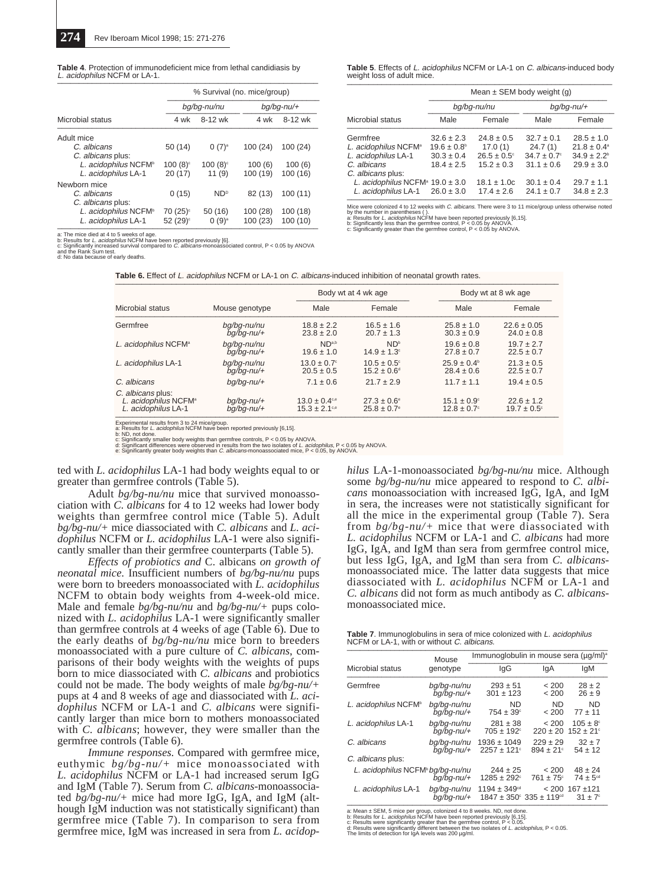| <b>Table 4.</b> Protection of immunodeficient mice from lethal candidiasis by |  |
|-------------------------------------------------------------------------------|--|
| L. acidophilus NCFM or LA-1.                                                  |  |

|                                  | % Survival (no. mice/group) |                       |               |          |  |  |
|----------------------------------|-----------------------------|-----------------------|---------------|----------|--|--|
|                                  |                             | bq/bq-nu/nu           | $bg/bg$ -nu/+ |          |  |  |
| Microbial status                 | 4 wk                        | 8-12 wk               | 4 wk          | 8-12 wk  |  |  |
| Adult mice                       |                             |                       |               |          |  |  |
| C. albicans                      | 50 (14)                     | $0(7)^{a}$            | 100(24)       | 100 (24) |  |  |
| C. albicans plus:                |                             |                       |               |          |  |  |
| L. acidophilus NCFM <sup>b</sup> | $100(8)$ <sup>c</sup>       | $100(8)$ <sup>c</sup> | 100(6)        | 100(6)   |  |  |
| L. acidophilus LA-1              | 20(17)                      | 11(9)                 | 100 (19)      | 100(16)  |  |  |
| Newborn mice                     |                             |                       |               |          |  |  |
| C. albicans                      | 0(15)                       | ND <sup>D</sup>       | 82 (13)       | 100(11)  |  |  |
| C. albicans plus:                |                             |                       |               |          |  |  |
| L. acidophilus NCFM <sup>b</sup> | 70 (25) <sup>c</sup>        | 50(16)                | 100(28)       | 100(18)  |  |  |
| L. acidophilus LA-1              | 52 (29) <sup>c</sup>        | $0(9)^a$              | 100 (23)      | 100 (10) |  |  |

a: The mice died at 4 to 5 weeks of age.<br>b: Results for *L. acidophilus* NCFM have been reported previously [6].<br>c: Significantly increased survival compared to *C. albicans-*monoassociated control, P < 0.05 by ANOVA<br>and t

and the Rank Sum test.<br>d: No data because of early deaths.

**Table 5**. Effects of L. acidophilus NCFM or LA-1 on C. albicans-induced body weight loss of adult mice.  $\frac{1}{2}$ 

|                                                 |                        | Mean $\pm$ SEM body weight (g) |                  |                        |  |  |  |
|-------------------------------------------------|------------------------|--------------------------------|------------------|------------------------|--|--|--|
|                                                 |                        | bq/bq-nu/nu                    |                  | $bq/bq$ -nu/+          |  |  |  |
| Microbial status                                | Male                   | Female                         | Male             | Female                 |  |  |  |
| Germfree                                        | $32.6 \pm 2.3$         | $24.8 \pm 0.5$                 | $32.7 \pm 0.1$   | $28.5 \pm 1.0$         |  |  |  |
| L. acidophilus NCFM <sup>a</sup>                | $19.6 \pm 0.8^{\circ}$ | 17.0(1)                        | 24.7(1)          | $21.8 \pm 0.4^a$       |  |  |  |
| L. acidophilus LA-1                             | $30.3 \pm 0.4$         | $26.5 \pm 0.5^{\circ}$         | $34.7 \pm 0.7$ ° | $34.9 \pm 2.2^{\circ}$ |  |  |  |
| C. albicans                                     | $18.4 \pm 2.5$         | $15.2 \pm 0.3$                 | $31.1 \pm 0.6$   | $29.9 \pm 3.0$         |  |  |  |
| C. albicans plus:                               |                        |                                |                  |                        |  |  |  |
| L. acidophilus NCFM <sup>a</sup> $19.0 \pm 3.0$ |                        | $18.1 \pm 1.0c$                | $30.1 \pm 0.4$   | $29.7 \pm 1.1$         |  |  |  |
| L. acidophilus LA-1 $26.0 \pm 3.0$              |                        | $17.4 \pm 2.6$                 | $24.1 \pm 0.7$   | $34.8 \pm 2.3$         |  |  |  |

Mice were colonized 4 to 12 weeks with *C. albicans*. There were 3 to 11 mice/group unless otherwise noted<br>by the number in parentheses ( ).<br>a: Results for *L. acidophilus* NCFM have been reported previously [6,15].<br>b: Sig

**Table 6.** Effect of L. acidophilus NCFM or LA-1 on C. albicans-induced inhibition of neonatal growth rates.

|                                                                                                                                                                                                                                                                                                                                                                                                                                                              |                                |                                                           | Body wt at 4 wk age                              |                                            | Body wt at 8 wk age                      |
|--------------------------------------------------------------------------------------------------------------------------------------------------------------------------------------------------------------------------------------------------------------------------------------------------------------------------------------------------------------------------------------------------------------------------------------------------------------|--------------------------------|-----------------------------------------------------------|--------------------------------------------------|--------------------------------------------|------------------------------------------|
| Microbial status                                                                                                                                                                                                                                                                                                                                                                                                                                             | Mouse genotype                 | Male                                                      | Female                                           | Male                                       | Female                                   |
| Germfree                                                                                                                                                                                                                                                                                                                                                                                                                                                     | ba/ba-nu/nu<br>$bq/bq$ -nu/+   | $18.8 \pm 2.2$<br>$23.8 \pm 2.0$                          | $16.5 \pm 1.6$<br>$20.7 \pm 1.3$                 | $25.8 \pm 1.0$<br>$30.3 \pm 0.9$           | $22.6 \pm 0.05$<br>$24.0 \pm 0.8$        |
| L. acidophilus NCFM <sup>a</sup>                                                                                                                                                                                                                                                                                                                                                                                                                             | bq/bq-nu/nu<br>$bq/bq$ -nu/+   | ND <sub>a,b</sub><br>$19.6 \pm 1.0$                       | ND <sup>b</sup><br>$14.9 \pm 1.3$ °              | $19.6 \pm 0.8$<br>$27.8 \pm 0.7$           | $19.7 \pm 2.7$<br>$22.5 \pm 0.7$         |
| L. acidophilus LA-1                                                                                                                                                                                                                                                                                                                                                                                                                                          | bq/bq-nu/nu<br>$bg/bg$ -nu/+   | $13.0 \pm 0.7$ °<br>$20.5 \pm 0.5$                        | $10.5 \pm 0.5$ °<br>$15.2 \pm 0.6^{\circ}$       | $25.9 \pm 0.4^{\circ}$<br>$28.4 \pm 0.6$   | $21.3 \pm 0.5$<br>$22.5 \pm 0.7$         |
| C. albicans                                                                                                                                                                                                                                                                                                                                                                                                                                                  | $bq/bq$ -nu/+                  | $7.1 \pm 0.6$                                             | $21.7 \pm 2.9$                                   | $11.7 \pm 1.1$                             | $19.4 \pm 0.5$                           |
| C. albicans plus:<br>L. acidophilus NCFM <sup>a</sup><br>L. acidophilus LA-1                                                                                                                                                                                                                                                                                                                                                                                 | $bq/bq$ -nu/+<br>$bq/bq$ -nu/+ | $13.0 \pm 0.4$ <sup>c,e</sup><br>$15.3 \pm 2.1^{\circ.0}$ | $27.3 \pm 0.6^{\circ}$<br>$25.8 \pm 0.7^{\circ}$ | $15.1 \pm 0.9^{\circ}$<br>$12.8 \pm 0.7$ ° | $22.6 \pm 1.2$<br>$19.7 \pm 0.5^{\circ}$ |
| Experimental results from 3 to 24 mice/group.<br>a: Results for L. acidophilus NCFM have been reported previously [6,15].<br>b: ND, not done.<br>c: Significantly smaller body weights than germfree controls, $P < 0.05$ by ANOVA.<br>d: Significant differences were observed in results from the two isolates of L. acidophilus, P < 0.05 by ANOVA.<br>e: Significantly greater body weights than C. albicans-monoassociated mice, $P < 0.05$ , by ANOVA. |                                |                                                           |                                                  |                                            |                                          |

ted with *L. acidophilus* LA-1 had body weights equal to or greater than germfree controls (Table 5).

Adult *bg/bg-nu/nu* mice that survived monoassociation with *C. albicans* for 4 to 12 weeks had lower body weights than germfree control mice (Table 5). Adult *bg/bg-nu/+* mice diassociated with *C. albicans* and *L. acidophilus* NCFM or *L. acidophilus* LA-1 were also significantly smaller than their germfree counterparts (Table 5).

*Effects of probiotics and* C. albicans *on growth of neonatal mice.* Insufficient numbers of *bg/bg-nu/nu* pups were born to breeders monoassociated with *L. acidophilus* NCFM to obtain body weights from 4-week-old mice. Male and female *bg/bg-nu/nu* and *bg/bg-nu/+* pups colonized with *L. acidophilus* LA-1 were significantly smaller than germfree controls at 4 weeks of age (Table 6). Due to the early deaths of *bg/bg-nu/nu* mice born to breeders monoassociated with a pure culture of *C. albicans*, comparisons of their body weights with the weights of pups born to mice diassociated with *C. albicans* and probiotics could not be made. The body weights of male *bg/bg-nu/+* pups at 4 and 8 weeks of age and diassociated with *L. acidophilus* NCFM or LA-1 and *C. albicans* were significantly larger than mice born to mothers monoassociated with *C. albicans*; however, they were smaller than the germfree controls (Table 6).

*Immune responses.* Compared with germfree mice, euthymic *bg/bg-nu/+* mice monoassociated with *L. acidophilus* NCFM or LA-1 had increased serum IgG and IgM (Table 7). Serum from *C. albicans*-monoassociated *bg/bg-nu/+* mice had more IgG, IgA, and IgM (although IgM induction was not statistically significant) than germfree mice (Table 7). In comparison to sera from germfree mice, IgM was increased in sera from *L. acidop-* *hilus* LA-1-monoassociated *bg/bg-nu/nu* mice. Although some *bg/bg-nu/nu* mice appeared to respond to *C. albicans* monoassociation with increased IgG, IgA, and IgM in sera, the increases were not statistically significant for all the mice in the experimental group (Table 7). Sera from *bg/bg-nu/+* mice that were diassociated with *L. acidophilus* NCFM or LA-1 and *C. albicans* had more IgG, IgA, and IgM than sera from germfree control mice, but less IgG, IgA, and IgM than sera from *C. albicans*monoassociated mice. The latter data suggests that mice diassociated with *L. acidophilus* NCFM or LA-1 and *C. albicans* did not form as much antibody as *C. albicans*monoassociated mice.

**Table 7**. Immunoglobulins in sera of mice colonized with L. acidophilus NCFM or LA-1, with or without C. albicans.

|                                            | Mouse                        | Immunoglobulin in mouse sera (µq/ml) <sup>a</sup>                                  |                                |                                             |  |  |
|--------------------------------------------|------------------------------|------------------------------------------------------------------------------------|--------------------------------|---------------------------------------------|--|--|
| Microbial status                           | genotype                     | lgG                                                                                | lgA                            | <b>IgM</b>                                  |  |  |
| Germfree                                   | bq/bq-nu/nu<br>$bq/bq$ -nu/+ | $293 \pm 51$<br>$301 \pm 123$                                                      | < 200<br>< 200                 | $28 \pm 2$<br>$26 \pm 9$                    |  |  |
| L. acidophilus NCFM <sup>b</sup>           | bq/bq-nu/nu<br>ba/ba-nu/+    | <b>ND</b><br>$754 \pm 39^{\circ}$                                                  | <b>ND</b><br>< 200             | <b>ND</b><br>$77 + 11$                      |  |  |
| L. acidophilus LA-1                        | bq/bq-nu/nu<br>$bq/bq$ -nu/+ | $281 \pm 38$<br>$705 \pm 192^{\circ}$                                              | < 200<br>$220 \pm 20$          | $105 \pm 8^{\circ}$<br>$152 \pm 21$ °       |  |  |
| C. albicans                                | bq/bq-nu/nu<br>ba/ba-nu/+    | $1936 \pm 1049$<br>$2257 \pm 121$ °                                                | $229 \pm 29$<br>$894 \pm 21$ ° | $32 \pm 7$<br>$54 \pm 12$                   |  |  |
| C. albicans plus:                          |                              |                                                                                    |                                |                                             |  |  |
| L. acidophilus NCFM <sup>bg/bg-nu/nu</sup> | $bq/bq$ -nu/+                | $244 \pm 25$<br>$1285 \pm 292^{\circ}$                                             | < 200<br>$761 \pm 75$ °        | $48 \pm 24$<br>$74 \pm 5^{\circ d}$         |  |  |
| L. acidophilus LA-1                        | bq/bq-nu/nu<br>$bq/bq$ -nu/+ | $1194 \pm 349$ <sup>cd</sup><br>$1847 \pm 350^{\circ}$ 335 $\pm$ 119 <sup>cd</sup> |                                | $< 200$ 167 $\pm$ 121<br>$31 \pm 7^{\circ}$ |  |  |

 $25$  at Mean  $\pm$  SEM, 5 mice per group, colonized 4 to 8 weeks. ND, not done.<br>
b: Results for *L. acidophilus* NCFM have been reported previously [6,15].<br>
c: Results were significantly gireater than the germetre control,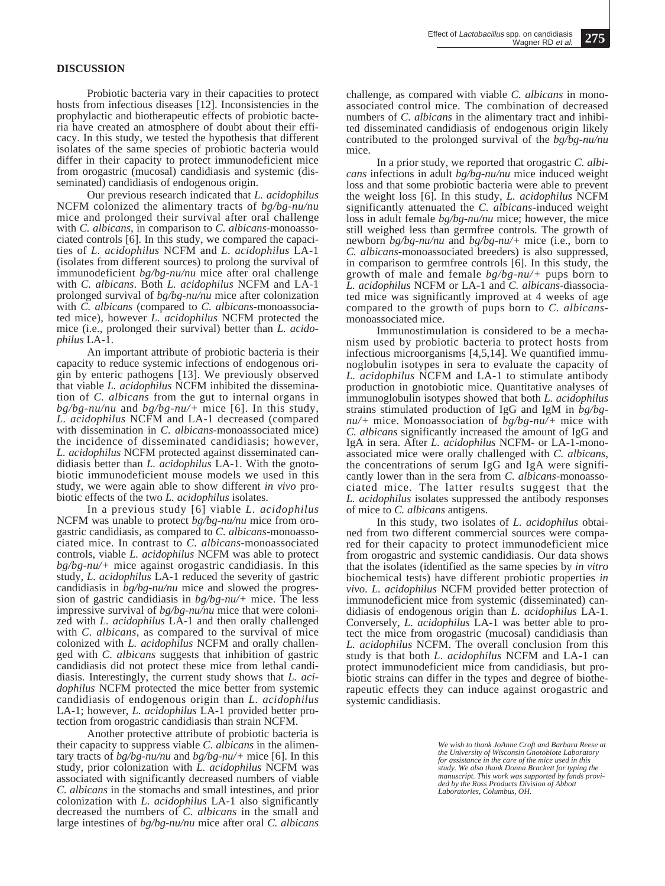### **DISCUSSION**

Probiotic bacteria vary in their capacities to protect hosts from infectious diseases [12]. Inconsistencies in the prophylactic and biotherapeutic effects of probiotic bacteria have created an atmosphere of doubt about their efficacy. In this study, we tested the hypothesis that different isolates of the same species of probiotic bacteria would differ in their capacity to protect immunodeficient mice from orogastric (mucosal) candidiasis and systemic (disseminated) candidiasis of endogenous origin.

Our previous research indicated that *L. acidophilus* NCFM colonized the alimentary tracts of *bg/bg-nu/nu* mice and prolonged their survival after oral challenge with *C. albicans*, in comparison to *C. albicans*-monoassociated controls [6]. In this study, we compared the capacities of *L. acidophilus* NCFM and *L. acidophilus* LA-1 (isolates from different sources) to prolong the survival of immunodeficient *bg/bg-nu/nu* mice after oral challenge with *C. albicans*. Both *L. acidophilus* NCFM and LA-1 prolonged survival of *bg/bg-nu/nu* mice after colonization with *C. albicans* (compared to *C. albicans*-monoassociated mice), however *L. acidophilus* NCFM protected the mice (i.e., prolonged their survival) better than *L. acidophilus* LA-1.

An important attribute of probiotic bacteria is their capacity to reduce systemic infections of endogenous origin by enteric pathogens [13]. We previously observed that viable *L. acidophilus* NCFM inhibited the dissemination of *C. albicans* from the gut to internal organs in *bg/bg-nu/nu* and *bg/bg-nu/+* mice [6]. In this study, *L. acidophilus* NCFM and LA-1 decreased (compared with dissemination in *C. albicans*-monoassociated mice) the incidence of disseminated candidiasis; however, *L. acidophilus* NCFM protected against disseminated candidiasis better than *L. acidophilus* LA-1. With the gnotobiotic immunodeficient mouse models we used in this study, we were again able to show different *in vivo* probiotic effects of the two *L. acidophilus* isolates.

In a previous study [6] viable *L. acidophilus* NCFM was unable to protect *bg/bg-nu/nu* mice from orogastric candidiasis, as compared to *C. albicans*-monoassociated mice. In contrast to *C. albicans*-monoassociated controls, viable *L. acidophilus* NCFM was able to protect *bg/bg-nu/+* mice against orogastric candidiasis. In this study, *L. acidophilus* LA-1 reduced the severity of gastric candidiasis in *bg/bg-nu/nu* mice and slowed the progression of gastric candidiasis in *bg/bg-nu/+* mice. The less impressive survival of *bg/bg-nu/nu* mice that were colonized with *L. acidophilus* LA-1 and then orally challenged with *C. albicans*, as compared to the survival of mice colonized with *L. acidophilus* NCFM and orally challenged with *C. albicans* suggests that inhibition of gastric candidiasis did not protect these mice from lethal candidiasis. Interestingly, the current study shows that *L. acidophilus* NCFM protected the mice better from systemic candidiasis of endogenous origin than *L. acidophilus* LA-1; however, *L. acidophilus* LA-1 provided better protection from orogastric candidiasis than strain NCFM.

Another protective attribute of probiotic bacteria is their capacity to suppress viable *C. albicans* in the alimentary tracts of *bg/bg-nu/nu* and *bg/bg-nu/+* mice [6]. In this study, prior colonization with *L. acidophilus* NCFM was associated with significantly decreased numbers of viable *C. albicans* in the stomachs and small intestines, and prior colonization with *L. acidophilus* LA-1 also significantly decreased the numbers of *C. albicans* in the small and large intestines of *bg/bg-nu/nu* mice after oral *C. albicans*

challenge, as compared with viable *C. albicans* in monoassociated control mice. The combination of decreased numbers of *C. albicans* in the alimentary tract and inhibited disseminated candidiasis of endogenous origin likely contributed to the prolonged survival of the *bg/bg-nu/nu* mice.

In a prior study, we reported that orogastric *C. albicans* infections in adult *bg/bg-nu/nu* mice induced weight loss and that some probiotic bacteria were able to prevent the weight loss [6]. In this study, *L. acidophilus* NCFM significantly attenuated the *C. albicans*-induced weight loss in adult female *bg/bg-nu/nu* mice; however, the mice still weighed less than germfree controls. The growth of newborn *bg/bg-nu/nu* and *bg/bg-nu/+* mice (i.e., born to *C. albicans*-monoassociated breeders) is also suppressed, in comparison to germfree controls [6]. In this study, the growth of male and female *bg/bg-nu/+* pups born to *L. acidophilus* NCFM or LA-1 and *C. albicans*-diassociated mice was significantly improved at 4 weeks of age compared to the growth of pups born to *C. albicans*monoassociated mice.

Immunostimulation is considered to be a mechanism used by probiotic bacteria to protect hosts from infectious microorganisms [4,5,14]. We quantified immunoglobulin isotypes in sera to evaluate the capacity of *L. acidophilus* NCFM and LA-1 to stimulate antibody production in gnotobiotic mice. Quantitative analyses of immunoglobulin isotypes showed that both *L. acidophilus* strains stimulated production of IgG and IgM in *bg/bgnu/+* mice. Monoassociation of *bg/bg-nu/+* mice with *C. albicans* significantly increased the amount of IgG and IgA in sera. After *L. acidophilus* NCFM- or LA-1-monoassociated mice were orally challenged with *C. albicans*, the concentrations of serum IgG and IgA were significantly lower than in the sera from *C. albicans*-monoassociated mice. The latter results suggest that the *L. acidophilus* isolates suppressed the antibody responses of mice to *C. albicans* antigens.

In this study, two isolates of *L. acidophilus* obtained from two different commercial sources were compared for their capacity to protect immunodeficient mice from orogastric and systemic candidiasis. Our data shows that the isolates (identified as the same species by *in vitro* biochemical tests) have different probiotic properties *in vivo*. *L. acidophilus* NCFM provided better protection of immunodeficient mice from systemic (disseminated) candidiasis of endogenous origin than *L. acidophilus* LA-1. Conversely, *L. acidophilus* LA-1 was better able to protect the mice from orogastric (mucosal) candidiasis than *L. acidophilus* NCFM. The overall conclusion from this study is that both *L. acidophilus* NCFM and LA-1 can protect immunodeficient mice from candidiasis, but probiotic strains can differ in the types and degree of biotherapeutic effects they can induce against orogastric and systemic candidiasis.

> *We wish to thank JoAnne Croft and Barbara Reese at the University of Wisconsin Gnotobiote Laboratory for assistance in the care of the mice used in this study. We also thank Donna Brackett for typing the manuscript. This work was supported by funds provided by the Ross Products Division of Abbott Laboratories, Columbus, OH.*